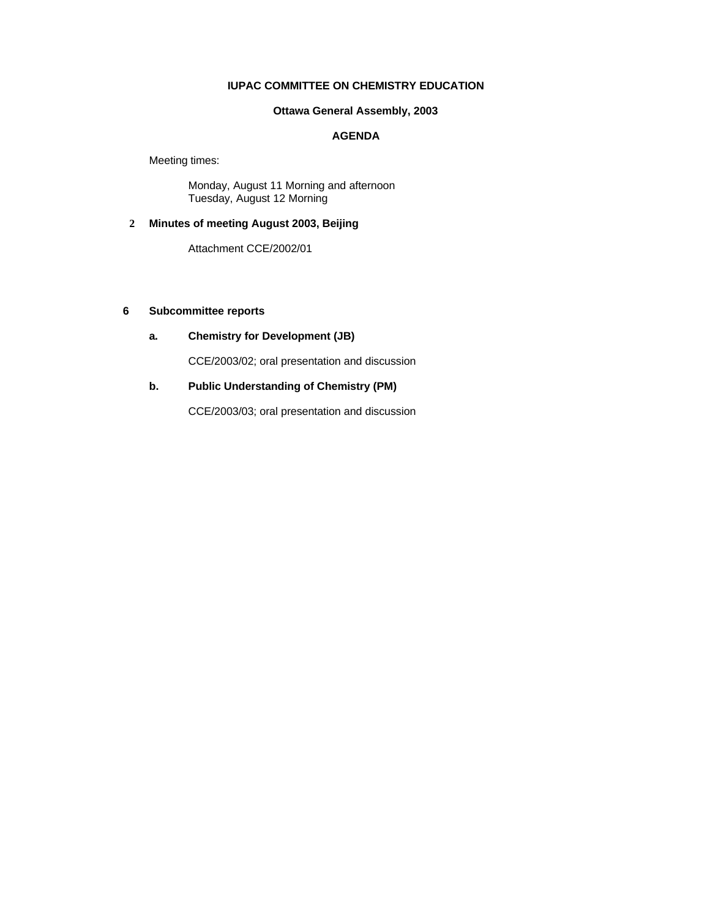# **IUPAC COMMITTEE ON CHEMISTRY EDUCATION**

# **Ottawa General Assembly, 2003**

## **AGENDA**

Meeting times:

Monday, August 11 Morning and afternoon Tuesday, August 12 Morning

# **2 Minutes of meeting August 2003, Beijing**

Attachment CCE/2002/01

## **6 Subcommittee reports**

# **a. Chemistry for Development (JB)**

CCE/2003/02; oral presentation and discussion

# **b. Public Understanding of Chemistry (PM)**

CCE/2003/03; oral presentation and discussion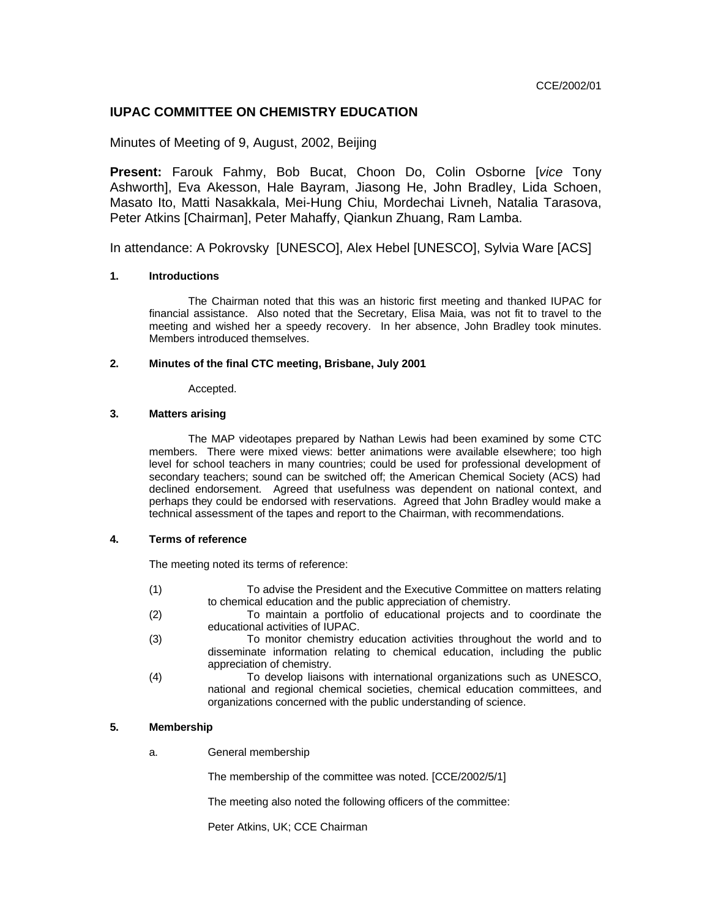CCE/2002/01

# **IUPAC COMMITTEE ON CHEMISTRY EDUCATION**

## Minutes of Meeting of 9, August, 2002, Beijing

**Present:** Farouk Fahmy, Bob Bucat, Choon Do, Colin Osborne [*vice* Tony Ashworth], Eva Akesson, Hale Bayram, Jiasong He, John Bradley, Lida Schoen, Masato Ito, Matti Nasakkala, Mei-Hung Chiu, Mordechai Livneh, Natalia Tarasova, Peter Atkins [Chairman], Peter Mahaffy, Qiankun Zhuang, Ram Lamba.

In attendance: A Pokrovsky [UNESCO], Alex Hebel [UNESCO], Sylvia Ware [ACS]

## **1. Introductions**

The Chairman noted that this was an historic first meeting and thanked IUPAC for financial assistance. Also noted that the Secretary, Elisa Maia, was not fit to travel to the meeting and wished her a speedy recovery. In her absence, John Bradley took minutes. Members introduced themselves.

## **2. Minutes of the final CTC meeting, Brisbane, July 2001**

Accepted.

### **3. Matters arising**

The MAP videotapes prepared by Nathan Lewis had been examined by some CTC members. There were mixed views: better animations were available elsewhere; too high level for school teachers in many countries; could be used for professional development of secondary teachers; sound can be switched off; the American Chemical Society (ACS) had declined endorsement. Agreed that usefulness was dependent on national context, and perhaps they could be endorsed with reservations. Agreed that John Bradley would make a technical assessment of the tapes and report to the Chairman, with recommendations.

## **4. Terms of reference**

The meeting noted its terms of reference:

- (1) To advise the President and the Executive Committee on matters relating to chemical education and the public appreciation of chemistry.
- (2) To maintain a portfolio of educational projects and to coordinate the educational activities of IUPAC.
- (3) To monitor chemistry education activities throughout the world and to disseminate information relating to chemical education, including the public appreciation of chemistry.
- (4) To develop liaisons with international organizations such as UNESCO, national and regional chemical societies, chemical education committees, and organizations concerned with the public understanding of science.

## **5. Membership**

a. General membership

The membership of the committee was noted. [CCE/2002/5/1]

The meeting also noted the following officers of the committee:

Peter Atkins, UK; CCE Chairman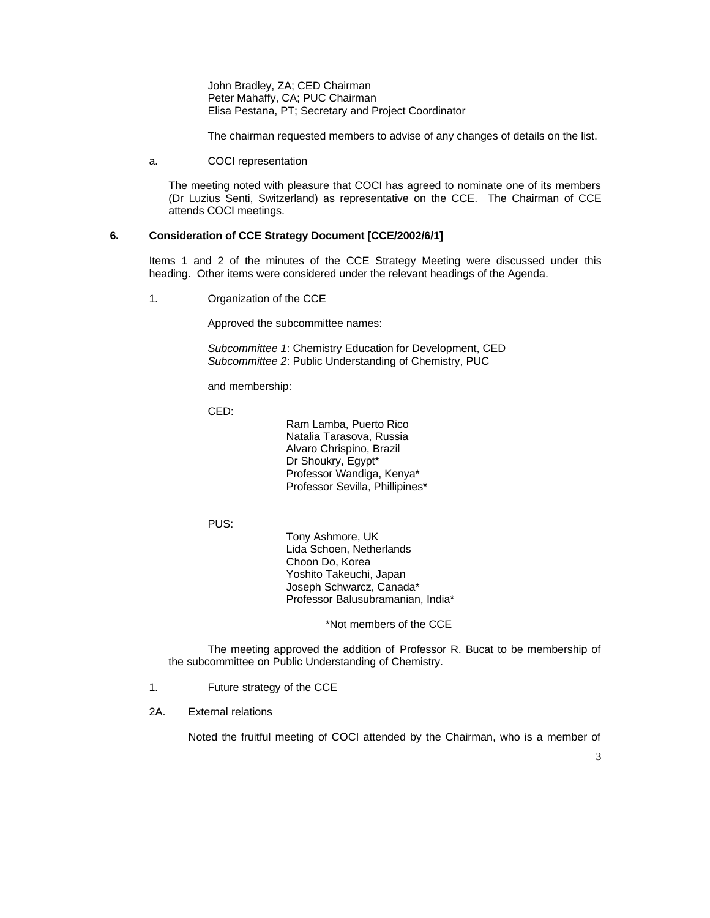John Bradley, ZA; CED Chairman Peter Mahaffy, CA; PUC Chairman Elisa Pestana, PT; Secretary and Project Coordinator

The chairman requested members to advise of any changes of details on the list.

a. COCI representation

The meeting noted with pleasure that COCI has agreed to nominate one of its members (Dr Luzius Senti, Switzerland) as representative on the CCE. The Chairman of CCE attends COCI meetings.

### **6. Consideration of CCE Strategy Document [CCE/2002/6/1]**

Items 1 and 2 of the minutes of the CCE Strategy Meeting were discussed under this heading. Other items were considered under the relevant headings of the Agenda.

1. Organization of the CCE

Approved the subcommittee names:

*Subcommittee 1*: Chemistry Education for Development, CED *Subcommittee 2*: Public Understanding of Chemistry, PUC

and membership:

CED:

Ram Lamba, Puerto Rico Natalia Tarasova, Russia Alvaro Chrispino, Brazil Dr Shoukry, Egypt\* Professor Wandiga, Kenya\* Professor Sevilla, Phillipines\*

PUS:

Tony Ashmore, UK Lida Schoen, Netherlands Choon Do, Korea Yoshito Takeuchi, Japan Joseph Schwarcz, Canada\* Professor Balusubramanian, India\*

\*Not members of the CCE

The meeting approved the addition of Professor R. Bucat to be membership of the subcommittee on Public Understanding of Chemistry.

- 1. Future strategy of the CCE
- 2A. External relations

Noted the fruitful meeting of COCI attended by the Chairman, who is a member of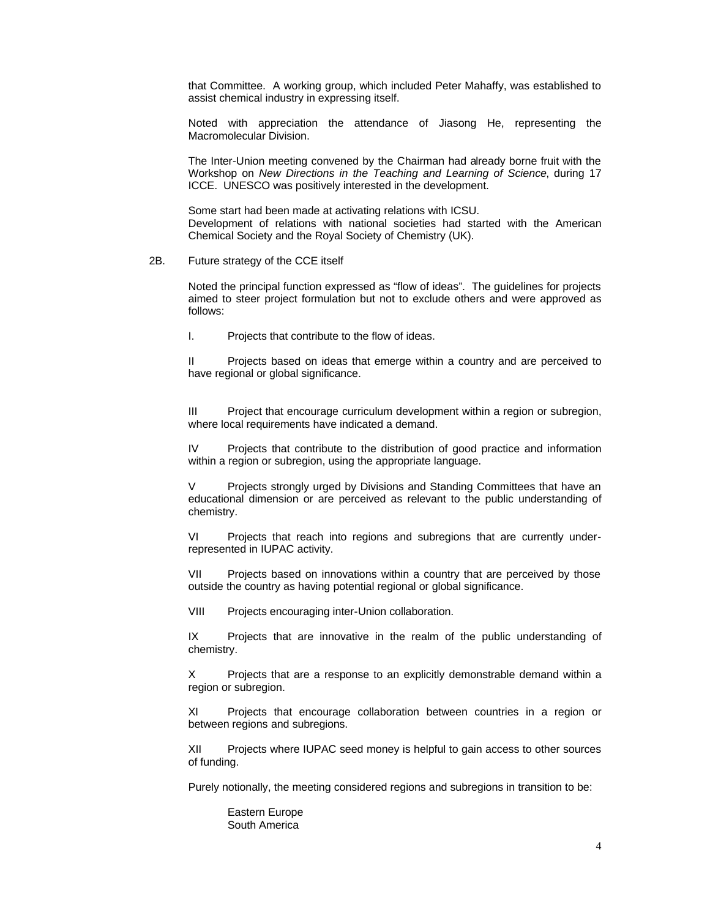that Committee. A working group, which included Peter Mahaffy, was established to assist chemical industry in expressing itself.

Noted with appreciation the attendance of Jiasong He, representing the Macromolecular Division.

The Inter-Union meeting convened by the Chairman had already borne fruit with the Workshop on *New Directions in the Teaching and Learning of Science*, during 17 ICCE. UNESCO was positively interested in the development.

Some start had been made at activating relations with ICSU. Development of relations with national societies had started with the American Chemical Society and the Royal Society of Chemistry (UK).

### 2B. Future strategy of the CCE itself

Noted the principal function expressed as "flow of ideas". The guidelines for projects aimed to steer project formulation but not to exclude others and were approved as follows:

I. Projects that contribute to the flow of ideas.

II Projects based on ideas that emerge within a country and are perceived to have regional or global significance.

III Project that encourage curriculum development within a region or subregion, where local requirements have indicated a demand.

IV Projects that contribute to the distribution of good practice and information within a region or subregion, using the appropriate language.

Projects strongly urged by Divisions and Standing Committees that have an educational dimension or are perceived as relevant to the public understanding of chemistry.

VI Projects that reach into regions and subregions that are currently underrepresented in IUPAC activity.

VII Projects based on innovations within a country that are perceived by those outside the country as having potential regional or global significance.

VIII Projects encouraging inter-Union collaboration.

IX Projects that are innovative in the realm of the public understanding of chemistry.

X Projects that are a response to an explicitly demonstrable demand within a region or subregion.

XI Projects that encourage collaboration between countries in a region or between regions and subregions.

XII Projects where IUPAC seed money is helpful to gain access to other sources of funding.

Purely notionally, the meeting considered regions and subregions in transition to be:

Eastern Europe South America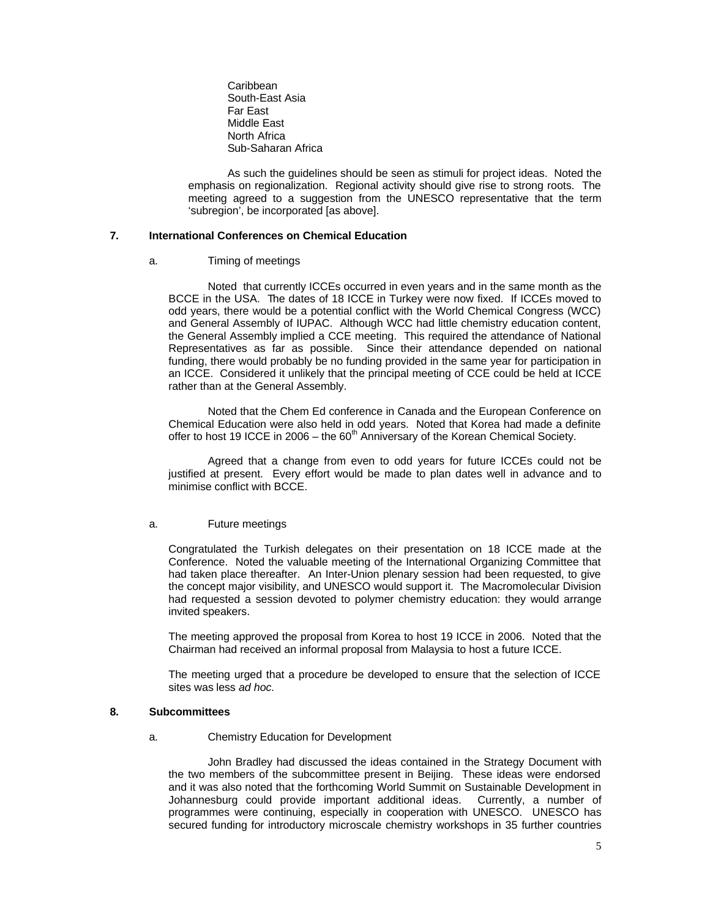Caribbean South-East Asia Far East Middle East North Africa Sub-Saharan Africa

As such the guidelines should be seen as stimuli for project ideas. Noted the emphasis on regionalization. Regional activity should give rise to strong roots. The meeting agreed to a suggestion from the UNESCO representative that the term 'subregion', be incorporated [as above].

## **7. International Conferences on Chemical Education**

## a. Timing of meetings

Noted that currently ICCEs occurred in even years and in the same month as the BCCE in the USA. The dates of 18 ICCE in Turkey were now fixed. If ICCEs moved to odd years, there would be a potential conflict with the World Chemical Congress (WCC) and General Assembly of IUPAC. Although WCC had little chemistry education content, the General Assembly implied a CCE meeting. This required the attendance of National Representatives as far as possible. Since their attendance depended on national funding, there would probably be no funding provided in the same year for participation in an ICCE. Considered it unlikely that the principal meeting of CCE could be held at ICCE rather than at the General Assembly.

Noted that the Chem Ed conference in Canada and the European Conference on Chemical Education were also held in odd years. Noted that Korea had made a definite offer to host 19 ICCE in 2006 – the  $60<sup>th</sup>$  Anniversary of the Korean Chemical Society.

Agreed that a change from even to odd years for future ICCEs could not be justified at present. Every effort would be made to plan dates well in advance and to minimise conflict with BCCE.

### a. Future meetings

Congratulated the Turkish delegates on their presentation on 18 ICCE made at the Conference. Noted the valuable meeting of the International Organizing Committee that had taken place thereafter. An Inter-Union plenary session had been requested, to give the concept major visibility, and UNESCO would support it. The Macromolecular Division had requested a session devoted to polymer chemistry education: they would arrange invited speakers.

The meeting approved the proposal from Korea to host 19 ICCE in 2006. Noted that the Chairman had received an informal proposal from Malaysia to host a future ICCE.

The meeting urged that a procedure be developed to ensure that the selection of ICCE sites was less *ad hoc*.

### **8. Subcommittees**

### a. Chemistry Education for Development

John Bradley had discussed the ideas contained in the Strategy Document with the two members of the subcommittee present in Beijing. These ideas were endorsed and it was also noted that the forthcoming World Summit on Sustainable Development in Johannesburg could provide important additional ideas. Currently, a number of programmes were continuing, especially in cooperation with UNESCO. UNESCO has secured funding for introductory microscale chemistry workshops in 35 further countries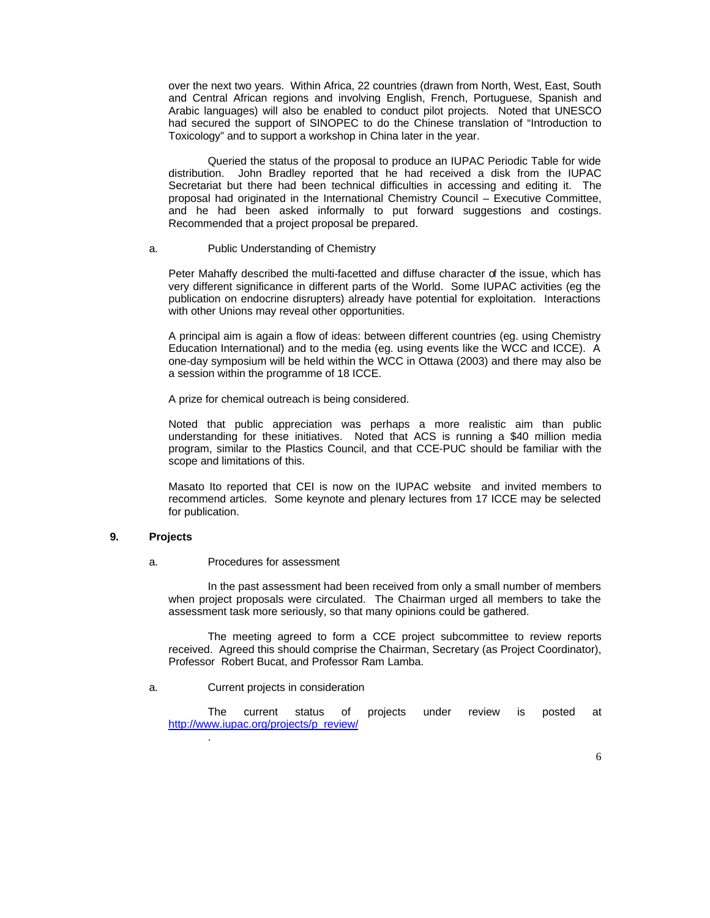over the next two years. Within Africa, 22 countries (drawn from North, West, East, South and Central African regions and involving English, French, Portuguese, Spanish and Arabic languages) will also be enabled to conduct pilot projects. Noted that UNESCO had secured the support of SINOPEC to do the Chinese translation of "Introduction to Toxicology" and to support a workshop in China later in the year.

Queried the status of the proposal to produce an IUPAC Periodic Table for wide distribution. John Bradley reported that he had received a disk from the IUPAC Secretariat but there had been technical difficulties in accessing and editing it. The proposal had originated in the International Chemistry Council – Executive Committee, and he had been asked informally to put forward suggestions and costings. Recommended that a project proposal be prepared.

## a. Public Understanding of Chemistry

Peter Mahaffy described the multi-facetted and diffuse character of the issue, which has very different significance in different parts of the World. Some IUPAC activities (eg the publication on endocrine disrupters) already have potential for exploitation. Interactions with other Unions may reveal other opportunities.

A principal aim is again a flow of ideas: between different countries (eg. using Chemistry Education International) and to the media (eg. using events like the WCC and ICCE). A one-day symposium will be held within the WCC in Ottawa (2003) and there may also be a session within the programme of 18 ICCE.

A prize for chemical outreach is being considered.

Noted that public appreciation was perhaps a more realistic aim than public understanding for these initiatives. Noted that ACS is running a \$40 million media program, similar to the Plastics Council, and that CCE-PUC should be familiar with the scope and limitations of this.

Masato Ito reported that CEI is now on the IUPAC website and invited members to recommend articles. Some keynote and plenary lectures from 17 ICCE may be selected for publication.

## **9. Projects**

#### a. Procedures for assessment

In the past assessment had been received from only a small number of members when project proposals were circulated. The Chairman urged all members to take the assessment task more seriously, so that many opinions could be gathered.

The meeting agreed to form a CCE project subcommittee to review reports received. Agreed this should comprise the Chairman, Secretary (as Project Coordinator), Professor Robert Bucat, and Professor Ram Lamba.

### a. Current projects in consideration

.

The current status of projects under review is posted at http://www.iupac.org/projects/p\_review/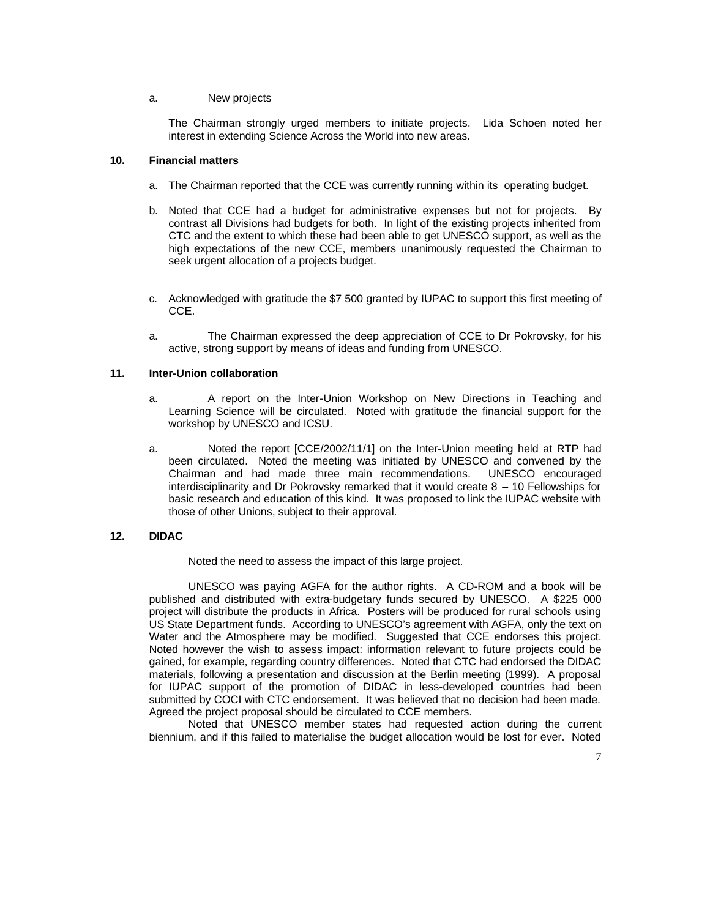### a. New projects

The Chairman strongly urged members to initiate projects. Lida Schoen noted her interest in extending Science Across the World into new areas.

### **10. Financial matters**

- a. The Chairman reported that the CCE was currently running within its operating budget.
- b. Noted that CCE had a budget for administrative expenses but not for projects. By contrast all Divisions had budgets for both. In light of the existing projects inherited from CTC and the extent to which these had been able to get UNESCO support, as well as the high expectations of the new CCE, members unanimously requested the Chairman to seek urgent allocation of a projects budget.
- c. Acknowledged with gratitude the \$7 500 granted by IUPAC to support this first meeting of CCE.
- a. The Chairman expressed the deep appreciation of CCE to Dr Pokrovsky, for his active, strong support by means of ideas and funding from UNESCO.

### **11. Inter-Union collaboration**

- a. A report on the Inter-Union Workshop on New Directions in Teaching and Learning Science will be circulated. Noted with gratitude the financial support for the workshop by UNESCO and ICSU.
- a. Noted the report [CCE/2002/11/1] on the Inter-Union meeting held at RTP had been circulated. Noted the meeting was initiated by UNESCO and convened by the Chairman and had made three main recommendations. UNESCO encouraged Chairman and had made three main recommendations. interdisciplinarity and Dr Pokrovsky remarked that it would create 8 – 10 Fellowships for basic research and education of this kind. It was proposed to link the IUPAC website with those of other Unions, subject to their approval.

## **12. DIDAC**

Noted the need to assess the impact of this large project.

UNESCO was paying AGFA for the author rights. A CD-ROM and a book will be published and distributed with extra-budgetary funds secured by UNESCO. A \$225 000 project will distribute the products in Africa. Posters will be produced for rural schools using US State Department funds. According to UNESCO's agreement with AGFA, only the text on Water and the Atmosphere may be modified. Suggested that CCE endorses this project. Noted however the wish to assess impact: information relevant to future projects could be gained, for example, regarding country differences. Noted that CTC had endorsed the DIDAC materials, following a presentation and discussion at the Berlin meeting (1999). A proposal for IUPAC support of the promotion of DIDAC in less-developed countries had been submitted by COCI with CTC endorsement. It was believed that no decision had been made. Agreed the project proposal should be circulated to CCE members.

Noted that UNESCO member states had requested action during the current biennium, and if this failed to materialise the budget allocation would be lost for ever. Noted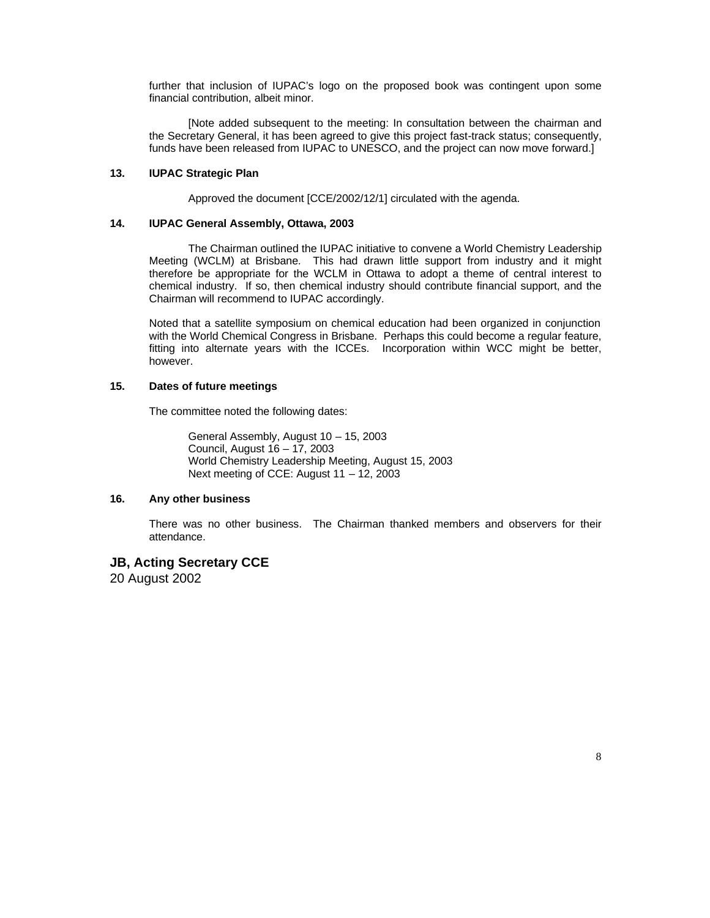further that inclusion of IUPAC's logo on the proposed book was contingent upon some financial contribution, albeit minor.

[Note added subsequent to the meeting: In consultation between the chairman and the Secretary General, it has been agreed to give this project fast-track status; consequently, funds have been released from IUPAC to UNESCO, and the project can now move forward.]

## **13. IUPAC Strategic Plan**

Approved the document [CCE/2002/12/1] circulated with the agenda.

### **14. IUPAC General Assembly, Ottawa, 2003**

The Chairman outlined the IUPAC initiative to convene a World Chemistry Leadership Meeting (WCLM) at Brisbane. This had drawn little support from industry and it might therefore be appropriate for the WCLM in Ottawa to adopt a theme of central interest to chemical industry. If so, then chemical industry should contribute financial support, and the Chairman will recommend to IUPAC accordingly.

Noted that a satellite symposium on chemical education had been organized in conjunction with the World Chemical Congress in Brisbane. Perhaps this could become a regular feature, fitting into alternate years with the ICCEs. Incorporation within WCC might be better, however.

### **15. Dates of future meetings**

The committee noted the following dates:

General Assembly, August 10 – 15, 2003 Council, August 16 – 17, 2003 World Chemistry Leadership Meeting, August 15, 2003 Next meeting of CCE: August 11 – 12, 2003

## **16. Any other business**

There was no other business. The Chairman thanked members and observers for their attendance.

# **JB, Acting Secretary CCE**

20 August 2002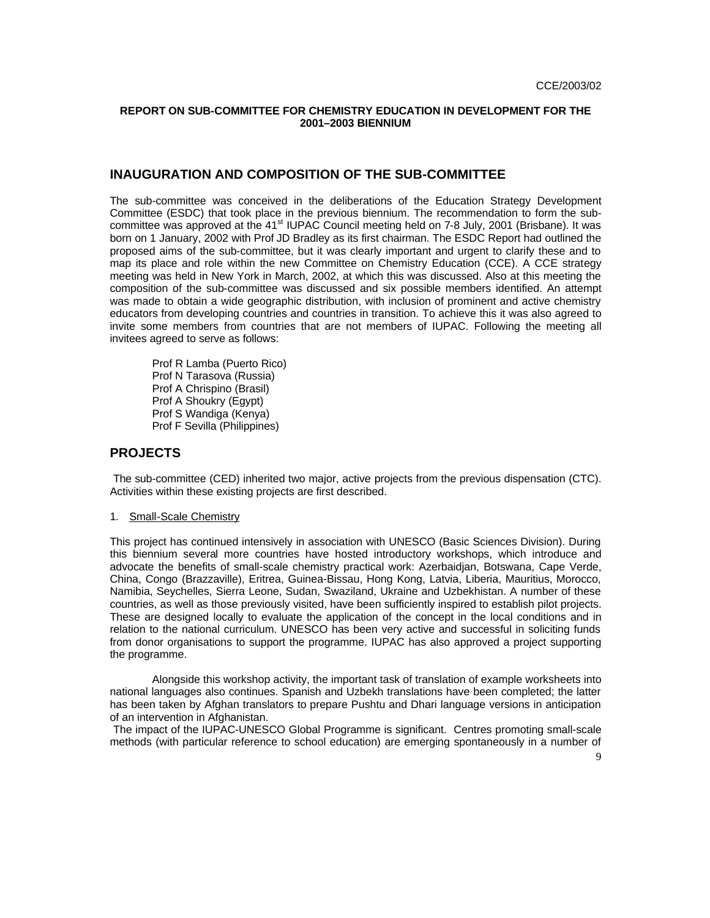### **REPORT ON SUB-COMMITTEE FOR CHEMISTRY EDUCATION IN DEVELOPMENT FOR THE 2001–2003 BIENNIUM**

# **INAUGURATION AND COMPOSITION OF THE SUB-COMMITTEE**

The sub-committee was conceived in the deliberations of the Education Strategy Development Committee (ESDC) that took place in the previous biennium. The recommendation to form the subcommittee was approved at the 41<sup>st</sup> IUPAC Council meeting held on 7-8 July, 2001 (Brisbane). It was born on 1 January, 2002 with Prof JD Bradley as its first chairman. The ESDC Report had outlined the proposed aims of the sub-committee, but it was clearly important and urgent to clarify these and to map its place and role within the new Committee on Chemistry Education (CCE). A CCE strategy meeting was held in New York in March, 2002, at which this was discussed. Also at this meeting the composition of the sub-committee was discussed and six possible members identified. An attempt was made to obtain a wide geographic distribution, with inclusion of prominent and active chemistry educators from developing countries and countries in transition. To achieve this it was also agreed to invite some members from countries that are not members of IUPAC. Following the meeting all invitees agreed to serve as follows:

 Prof R Lamba (Puerto Rico) Prof N Tarasova (Russia) Prof A Chrispino (Brasil) Prof A Shoukry (Egypt) Prof S Wandiga (Kenya) Prof F Sevilla (Philippines)

## **PROJECTS**

 The sub-committee (CED) inherited two major, active projects from the previous dispensation (CTC). Activities within these existing projects are first described.

1. Small-Scale Chemistry

This project has continued intensively in association with UNESCO (Basic Sciences Division). During this biennium several more countries have hosted introductory workshops, which introduce and advocate the benefits of small-scale chemistry practical work: Azerbaidjan, Botswana, Cape Verde, China, Congo (Brazzaville), Eritrea, Guinea-Bissau, Hong Kong, Latvia, Liberia, Mauritius, Morocco, Namibia, Seychelles, Sierra Leone, Sudan, Swaziland, Ukraine and Uzbekhistan. A number of these countries, as well as those previously visited, have been sufficiently inspired to establish pilot projects. These are designed locally to evaluate the application of the concept in the local conditions and in relation to the national curriculum. UNESCO has been very active and successful in soliciting funds from donor organisations to support the programme. IUPAC has also approved a project supporting the programme.

 Alongside this workshop activity, the important task of translation of example worksheets into national languages also continues. Spanish and Uzbekh translations have been completed; the latter has been taken by Afghan translators to prepare Pushtu and Dhari language versions in anticipation of an intervention in Afghanistan.

 The impact of the IUPAC-UNESCO Global Programme is significant. Centres promoting small-scale methods (with particular reference to school education) are emerging spontaneously in a number of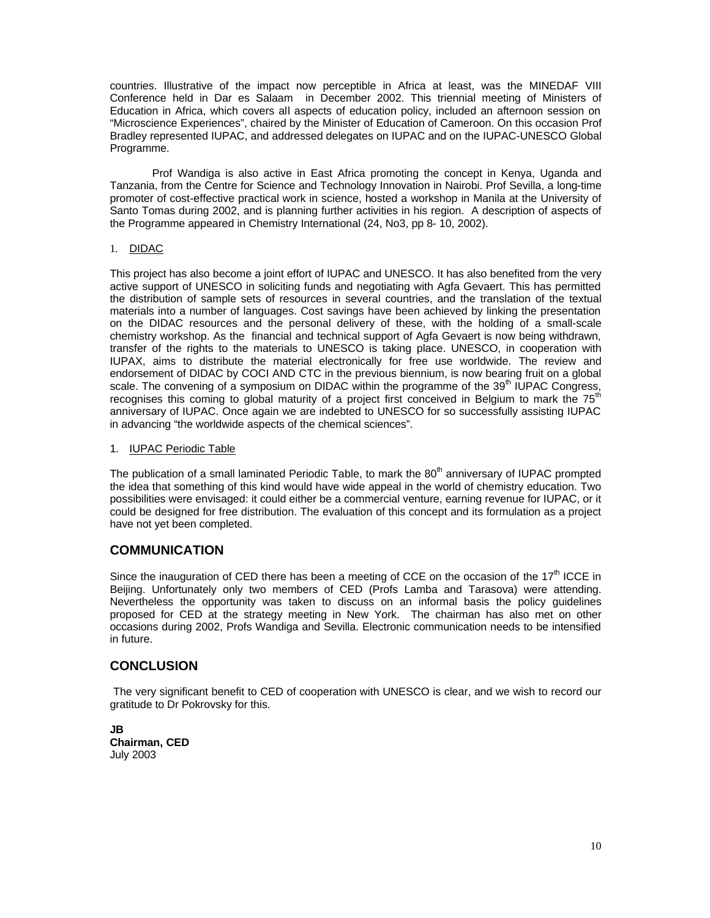countries. Illustrative of the impact now perceptible in Africa at least, was the MINEDAF VIII Conference held in Dar es Salaam in December 2002. This triennial meeting of Ministers of Education in Africa, which covers all aspects of education policy, included an afternoon session on "Microscience Experiences", chaired by the Minister of Education of Cameroon. On this occasion Prof Bradley represented IUPAC, and addressed delegates on IUPAC and on the IUPAC-UNESCO Global Programme.

 Prof Wandiga is also active in East Africa promoting the concept in Kenya, Uganda and Tanzania, from the Centre for Science and Technology Innovation in Nairobi. Prof Sevilla, a long-time promoter of cost-effective practical work in science, hosted a workshop in Manila at the University of Santo Tomas during 2002, and is planning further activities in his region. A description of aspects of the Programme appeared in Chemistry International (24, No3, pp 8- 10, 2002).

## 1. DIDAC

This project has also become a joint effort of IUPAC and UNESCO. It has also benefited from the very active support of UNESCO in soliciting funds and negotiating with Agfa Gevaert. This has permitted the distribution of sample sets of resources in several countries, and the translation of the textual materials into a number of languages. Cost savings have been achieved by linking the presentation on the DIDAC resources and the personal delivery of these, with the holding of a small-scale chemistry workshop. As the financial and technical support of Agfa Gevaert is now being withdrawn, transfer of the rights to the materials to UNESCO is taking place. UNESCO, in cooperation with IUPAX, aims to distribute the material electronically for free use worldwide. The review and endorsement of DIDAC by COCI AND CTC in the previous biennium, is now bearing fruit on a global scale. The convening of a symposium on DIDAC within the programme of the  $39<sup>th</sup>$  IUPAC Congress, recognises this coming to global maturity of a project first conceived in Belgium to mark the 75<sup>th</sup> anniversary of IUPAC. Once again we are indebted to UNESCO for so successfully assisting IUPAC in advancing "the worldwide aspects of the chemical sciences".

### 1. IUPAC Periodic Table

The publication of a small laminated Periodic Table, to mark the  $80<sup>th</sup>$  anniversary of IUPAC prompted the idea that something of this kind would have wide appeal in the world of chemistry education. Two possibilities were envisaged: it could either be a commercial venture, earning revenue for IUPAC, or it could be designed for free distribution. The evaluation of this concept and its formulation as a project have not yet been completed.

# **COMMUNICATION**

Since the inauguration of CED there has been a meeting of CCE on the occasion of the  $17<sup>th</sup>$  ICCE in Beijing. Unfortunately only two members of CED (Profs Lamba and Tarasova) were attending. Nevertheless the opportunity was taken to discuss on an informal basis the policy guidelines proposed for CED at the strategy meeting in New York. The chairman has also met on other occasions during 2002, Profs Wandiga and Sevilla. Electronic communication needs to be intensified in future.

# **CONCLUSION**

 The very significant benefit to CED of cooperation with UNESCO is clear, and we wish to record our gratitude to Dr Pokrovsky for this.

**JB Chairman, CED** July 2003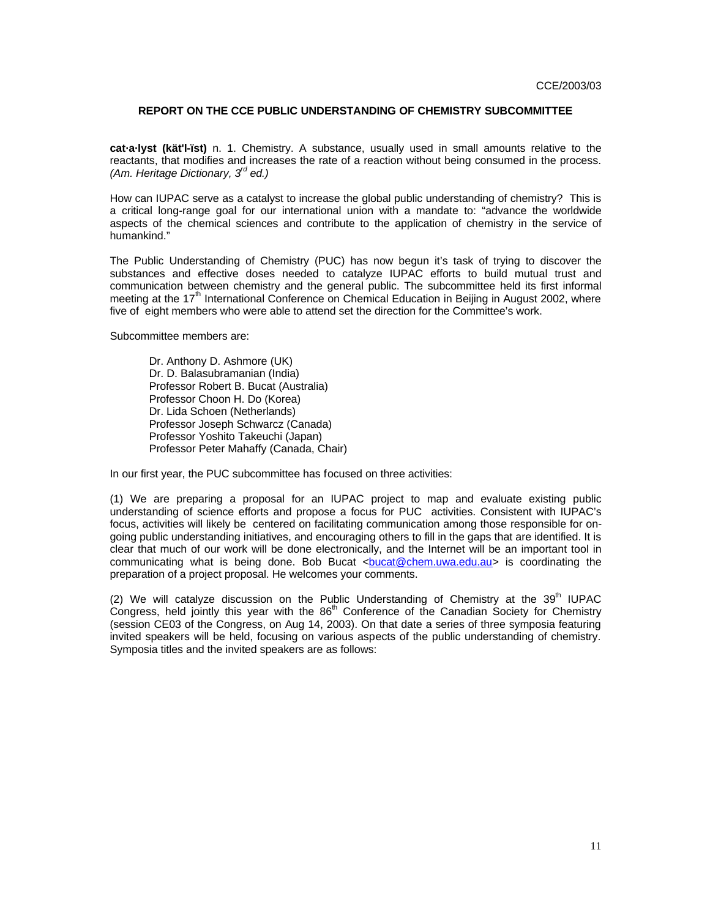### **REPORT ON THE CCE PUBLIC UNDERSTANDING OF CHEMISTRY SUBCOMMITTEE**

**cat·a·lyst (kät'l-ïst)** n. 1. Chemistry. A substance, usually used in small amounts relative to the reactants, that modifies and increases the rate of a reaction without being consumed in the process. *(Am. Heritage Dictionary, 3rd ed.)*

How can IUPAC serve as a catalyst to increase the global public understanding of chemistry? This is a critical long-range goal for our international union with a mandate to: "advance the worldwide aspects of the chemical sciences and contribute to the application of chemistry in the service of humankind."

The Public Understanding of Chemistry (PUC) has now begun it's task of trying to discover the substances and effective doses needed to catalyze IUPAC efforts to build mutual trust and communication between chemistry and the general public. The subcommittee held its first informal meeting at the 17<sup>th</sup> International Conference on Chemical Education in Beijing in August 2002, where five of eight members who were able to attend set the direction for the Committee's work.

Subcommittee members are:

Dr. Anthony D. Ashmore (UK) Dr. D. Balasubramanian (India) Professor Robert B. Bucat (Australia) Professor Choon H. Do (Korea) Dr. Lida Schoen (Netherlands) Professor Joseph Schwarcz (Canada) Professor Yoshito Takeuchi (Japan) Professor Peter Mahaffy (Canada, Chair)

In our first year, the PUC subcommittee has focused on three activities:

(1) We are preparing a proposal for an IUPAC project to map and evaluate existing public understanding of science efforts and propose a focus for PUC activities. Consistent with IUPAC's focus, activities will likely be centered on facilitating communication among those responsible for ongoing public understanding initiatives, and encouraging others to fill in the gaps that are identified. It is clear that much of our work will be done electronically, and the Internet will be an important tool in communicating what is being done. Bob Bucat <br/>bucat@chem.uwa.edu.au> is coordinating the preparation of a project proposal. He welcomes your comments.

(2) We will catalyze discussion on the Public Understanding of Chemistry at the  $39<sup>th</sup>$  IUPAC Congress, held jointly this year with the 86<sup>th</sup> Conference of the Canadian Society for Chemistry (session CE03 of the Congress, on Aug 14, 2003). On that date a series of three symposia featuring invited speakers will be held, focusing on various aspects of the public understanding of chemistry. Symposia titles and the invited speakers are as follows: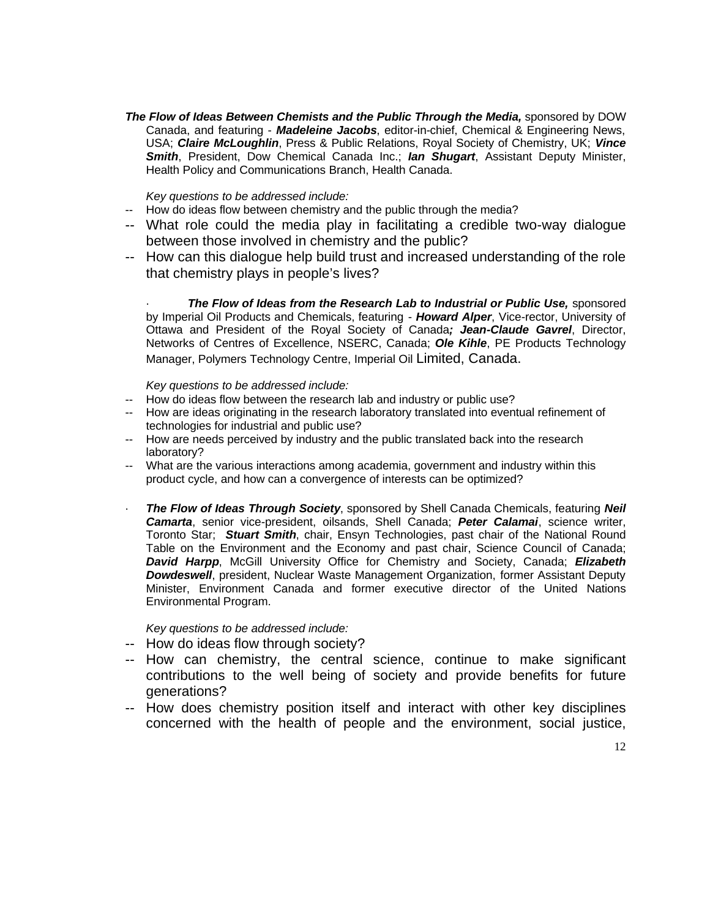**The Flow of Ideas Between Chemists and the Public Through the Media, sponsored by DOW** Canada, and featuring - *Madeleine Jacobs*, editor-in-chief, Chemical & Engineering News, USA; *Claire McLoughlin*, Press & Public Relations, Royal Society of Chemistry, UK; *Vince Smith*, President, Dow Chemical Canada Inc.; *Ian Shugart*, Assistant Deputy Minister, Health Policy and Communications Branch, Health Canada.

*Key questions to be addressed include:* 

- -- How do ideas flow between chemistry and the public through the media?
- -- What role could the media play in facilitating a credible two-way dialogue between those involved in chemistry and the public?
- -- How can this dialogue help build trust and increased understanding of the role that chemistry plays in people's lives?

**The Flow of Ideas from the Research Lab to Industrial or Public Use, sponsored** by Imperial Oil Products and Chemicals, featuring - *Howard Alper*, Vice-rector, University of Ottawa and President of the Royal Society of Canada*; Jean-Claude Gavrel*, Director, Networks of Centres of Excellence, NSERC, Canada; *Ole Kihle*, PE Products Technology Manager, Polymers Technology Centre, Imperial Oil Limited, Canada.

*Key questions to be addressed include:* 

- -- How do ideas flow between the research lab and industry or public use?
- -- How are ideas originating in the research laboratory translated into eventual refinement of technologies for industrial and public use?
- -- How are needs perceived by industry and the public translated back into the research laboratory?
- -- What are the various interactions among academia, government and industry within this product cycle, and how can a convergence of interests can be optimized?
- · *The Flow of Ideas Through Society*, sponsored by Shell Canada Chemicals, featuring *Neil Camarta*, senior vice-president, oilsands, Shell Canada; *Peter Calamai*, science writer, Toronto Star; *Stuart Smith*, chair, Ensyn Technologies, past chair of the National Round Table on the Environment and the Economy and past chair, Science Council of Canada; *David Harpp*, McGill University Office for Chemistry and Society, Canada; *Elizabeth Dowdeswell*, president, Nuclear Waste Management Organization, former Assistant Deputy Minister, Environment Canada and former executive director of the United Nations Environmental Program.

*Key questions to be addressed include:*

- -- How do ideas flow through society?
- -- How can chemistry, the central science, continue to make significant contributions to the well being of society and provide benefits for future generations?
- -- How does chemistry position itself and interact with other key disciplines concerned with the health of people and the environment, social justice,